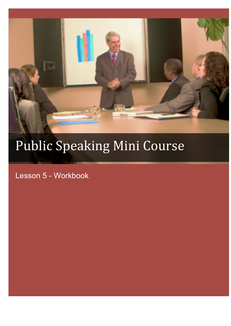

# Public Speaking Mini Course

Lesson 5 - Workbook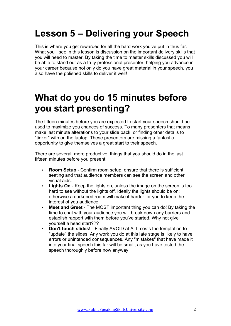# **Lesson 5 – Delivering your Speech**

This is where you get rewarded for all the hard work you've put in thus far. What you'll see in this lesson is discussion on the important delivery skills that you will need to master. By taking the time to master skills discussed you will be able to stand out as a truly professional presenter, helping you advance in your career because not only do you have great material in your speech, you also have the polished skills to deliver it well!

## **What do you do 15 minutes before you start presenting?**

The fifteen minutes before you are expected to start your speech should be used to maximize you chances of success. To many presenters that means make last minute alterations to your slide pack, or finding other details to "tinker" with on the laptop. These presenters are missing a fantastic opportunity to give themselves a great start to their speech.

There are several, more productive, things that you should do in the last fifteen minutes before you present:

- **Room Setup**  Confirm room setup, ensure that there is sufficient seating and that audience members can see the screen and other visual aids.
- **Lights On** Keep the lights on, unless the image on the screen is too hard to see without the lights off. Ideally the lights should be on; otherwise a darkened room will make it harder for you to keep the interest of you audience.
- **Meet and Greet** The MOST important thing you can do! By taking the time to chat with your audience you will break down any barriers and establish rapport with them before you've started. Why not give yourself a head start???
- **Don't touch slides!** Finally AVOID at ALL costs the temptation to "update" the slides. Any work you do at this late stage is likely to have errors or unintended consequences. Any "mistakes" that have made it into your final speech this far will be small, as you have tested the speech thoroughly before now anyway!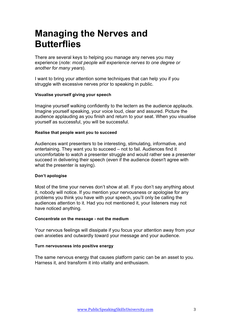### **Managing the Nerves and Butterflies**

There are several keys to helping you manage any nerves you may experience (*note: most people will experience nerves to one degree or another for many years*).

I want to bring your attention some techniques that can help you if you struggle with excessive nerves prior to speaking in public.

#### **Visualise yourself giving your speech**

Imagine yourself walking confidently to the lectern as the audience applauds. Imagine yourself speaking, your voice loud, clear and assured. Picture the audience applauding as you finish and return to your seat. When you visualise yourself as successful, you will be successful.

#### **Realise that people want you to succeed**

Audiences want presenters to be interesting, stimulating, informative, and entertaining. They want you to succeed – not to fail. Audiences find it uncomfortable to watch a presenter struggle and would rather see a presenter succeed in delivering their speech (even if the audience doesn't agree with what the presenter is saying).

#### **Don't apologise**

Most of the time your nerves don't show at all. If you don't say anything about it, nobody will notice. If you mention your nervousness or apologise for any problems you think you have with your speech, you'll only be calling the audiences attention to it. Had you not mentioned it, your listeners may not have noticed anything.

#### **Concentrate on the message - not the medium**

Your nervous feelings will dissipate if you focus your attention away from your own anxieties and outwardly toward your message and your audience.

#### **Turn nervousness into positive energy**

The same nervous energy that causes platform panic can be an asset to you. Harness it, and transform it into vitality and enthusiasm.